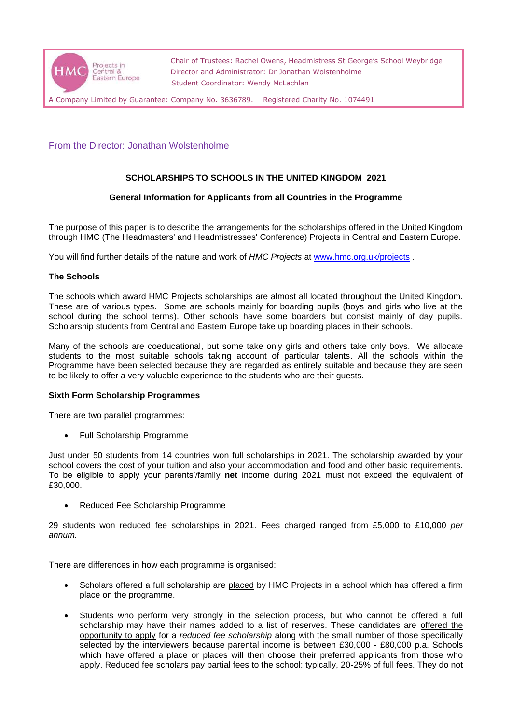

 Chair of Trustees: Rachel Owens, Headmistress St George's School Weybridge Director and Administrator: Dr Jonathan Wolstenholme Student Coordinator: Wendy McLachlan

A Company Limited by Guarantee: Company No. 3636789. Registered Charity No. 1074491

# From the Director: Jonathan Wolstenholme

# **SCHOLARSHIPS TO SCHOOLS IN THE UNITED KINGDOM 2021**

## **General Information for Applicants from all Countries in the Programme**

The purpose of this paper is to describe the arrangements for the scholarships offered in the United Kingdom through HMC (The Headmasters' and Headmistresses' Conference) Projects in Central and Eastern Europe.

You will find further details of the nature and work of *HMC Projects* at [www.hmc.org.uk/projects](http://www.hmc.org.uk/projects) .

## **The Schools**

The schools which award HMC Projects scholarships are almost all located throughout the United Kingdom. These are of various types. Some are schools mainly for boarding pupils (boys and girls who live at the school during the school terms). Other schools have some boarders but consist mainly of day pupils. Scholarship students from Central and Eastern Europe take up boarding places in their schools.

Many of the schools are coeducational, but some take only girls and others take only boys. We allocate students to the most suitable schools taking account of particular talents. All the schools within the Programme have been selected because they are regarded as entirely suitable and because they are seen to be likely to offer a very valuable experience to the students who are their guests.

#### **Sixth Form Scholarship Programmes**

There are two parallel programmes:

• Full Scholarship Programme

Just under 50 students from 14 countries won full scholarships in 2021. The scholarship awarded by your school covers the cost of your tuition and also your accommodation and food and other basic requirements. To be eligible to apply your parents'/family **net** income during 2021 must not exceed the equivalent of £30,000.

• Reduced Fee Scholarship Programme

29 students won reduced fee scholarships in 2021. Fees charged ranged from £5,000 to £10,000 *per annum.*

There are differences in how each programme is organised:

- Scholars offered a full scholarship are placed by HMC Projects in a school which has offered a firm place on the programme.
- Students who perform very strongly in the selection process, but who cannot be offered a full scholarship may have their names added to a list of reserves. These candidates are offered the opportunity to apply for a *reduced fee scholarship* along with the small number of those specifically selected by the interviewers because parental income is between £30,000 - £80,000 p.a. Schools which have offered a place or places will then choose their preferred applicants from those who apply. Reduced fee scholars pay partial fees to the school: typically, 20-25% of full fees. They do not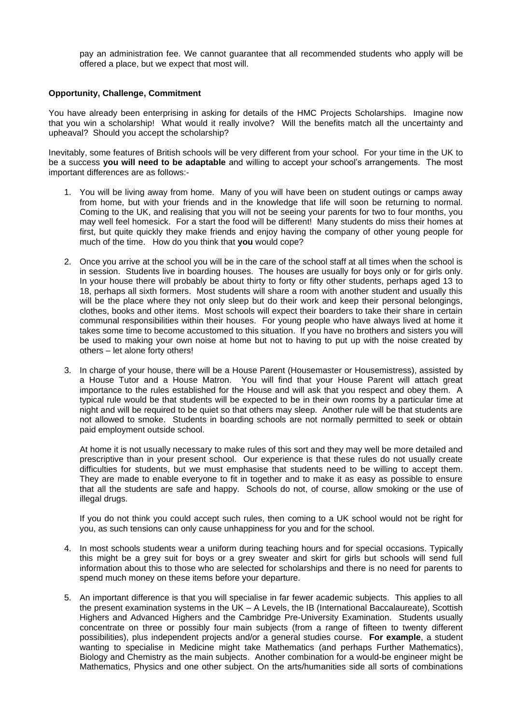pay an administration fee. We cannot guarantee that all recommended students who apply will be offered a place, but we expect that most will.

#### **Opportunity, Challenge, Commitment**

You have already been enterprising in asking for details of the HMC Projects Scholarships. Imagine now that you win a scholarship! What would it really involve? Will the benefits match all the uncertainty and upheaval? Should you accept the scholarship?

Inevitably, some features of British schools will be very different from your school. For your time in the UK to be a success **you will need to be adaptable** and willing to accept your school's arrangements. The most important differences are as follows:-

- 1. You will be living away from home. Many of you will have been on student outings or camps away from home, but with your friends and in the knowledge that life will soon be returning to normal. Coming to the UK, and realising that you will not be seeing your parents for two to four months, you may well feel homesick. For a start the food will be different! Many students do miss their homes at first, but quite quickly they make friends and enjoy having the company of other young people for much of the time. How do you think that **you** would cope?
- 2. Once you arrive at the school you will be in the care of the school staff at all times when the school is in session. Students live in boarding houses. The houses are usually for boys only or for girls only. In your house there will probably be about thirty to forty or fifty other students, perhaps aged 13 to 18, perhaps all sixth formers. Most students will share a room with another student and usually this will be the place where they not only sleep but do their work and keep their personal belongings, clothes, books and other items. Most schools will expect their boarders to take their share in certain communal responsibilities within their houses. For young people who have always lived at home it takes some time to become accustomed to this situation. If you have no brothers and sisters you will be used to making your own noise at home but not to having to put up with the noise created by others – let alone forty others!
- 3. In charge of your house, there will be a House Parent (Housemaster or Housemistress), assisted by a House Tutor and a House Matron. You will find that your House Parent will attach great importance to the rules established for the House and will ask that you respect and obey them. A typical rule would be that students will be expected to be in their own rooms by a particular time at night and will be required to be quiet so that others may sleep. Another rule will be that students are not allowed to smoke. Students in boarding schools are not normally permitted to seek or obtain paid employment outside school.

At home it is not usually necessary to make rules of this sort and they may well be more detailed and prescriptive than in your present school. Our experience is that these rules do not usually create difficulties for students, but we must emphasise that students need to be willing to accept them. They are made to enable everyone to fit in together and to make it as easy as possible to ensure that all the students are safe and happy. Schools do not, of course, allow smoking or the use of illegal drugs.

If you do not think you could accept such rules, then coming to a UK school would not be right for you, as such tensions can only cause unhappiness for you and for the school.

- 4. In most schools students wear a uniform during teaching hours and for special occasions. Typically this might be a grey suit for boys or a grey sweater and skirt for girls but schools will send full information about this to those who are selected for scholarships and there is no need for parents to spend much money on these items before your departure.
- 5. An important difference is that you will specialise in far fewer academic subjects. This applies to all the present examination systems in the UK – A Levels, the IB (International Baccalaureate), Scottish Highers and Advanced Highers and the Cambridge Pre-University Examination. Students usually concentrate on three or possibly four main subjects (from a range of fifteen to twenty different possibilities), plus independent projects and/or a general studies course. **For example**, a student wanting to specialise in Medicine might take Mathematics (and perhaps Further Mathematics), Biology and Chemistry as the main subjects. Another combination for a would-be engineer might be Mathematics, Physics and one other subject. On the arts/humanities side all sorts of combinations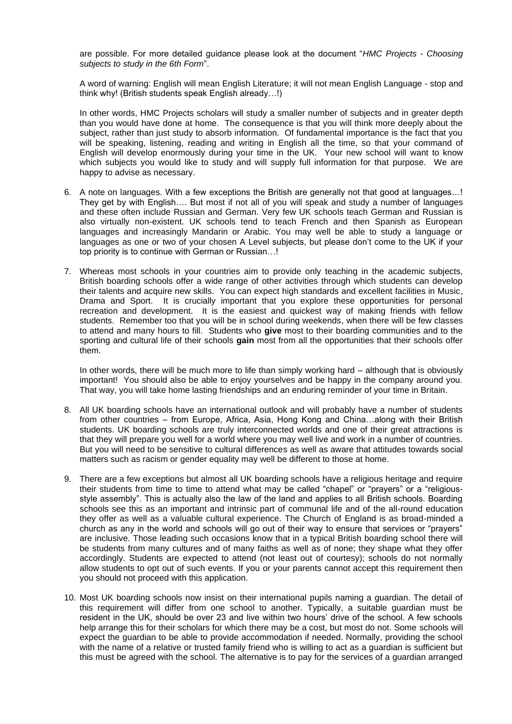are possible. For more detailed guidance please look at the document "*HMC Projects - Choosing subjects to study in the 6th Form*".

A word of warning: English will mean English Literature; it will not mean English Language - stop and think why! (British students speak English already…!)

In other words, HMC Projects scholars will study a smaller number of subjects and in greater depth than you would have done at home. The consequence is that you will think more deeply about the subject, rather than just study to absorb information. Of fundamental importance is the fact that you will be speaking, listening, reading and writing in English all the time, so that your command of English will develop enormously during your time in the UK. Your new school will want to know which subjects you would like to study and will supply full information for that purpose. We are happy to advise as necessary.

- 6. A note on languages. With a few exceptions the British are generally not that good at languages…! They get by with English…. But most if not all of you will speak and study a number of languages and these often include Russian and German. Very few UK schools teach German and Russian is also virtually non-existent. UK schools tend to teach French and then Spanish as European languages and increasingly Mandarin or Arabic. You may well be able to study a language or languages as one or two of your chosen A Level subjects, but please don't come to the UK if your top priority is to continue with German or Russian…!
- 7. Whereas most schools in your countries aim to provide only teaching in the academic subjects, British boarding schools offer a wide range of other activities through which students can develop their talents and acquire new skills. You can expect high standards and excellent facilities in Music, Drama and Sport. It is crucially important that you explore these opportunities for personal recreation and development. It is the easiest and quickest way of making friends with fellow students. Remember too that you will be in school during weekends, when there will be few classes to attend and many hours to fill. Students who **give** most to their boarding communities and to the sporting and cultural life of their schools **gain** most from all the opportunities that their schools offer them.

In other words, there will be much more to life than simply working hard – although that is obviously important! You should also be able to enjoy yourselves and be happy in the company around you. That way, you will take home lasting friendships and an enduring reminder of your time in Britain.

- 8. All UK boarding schools have an international outlook and will probably have a number of students from other countries – from Europe, Africa, Asia, Hong Kong and China…along with their British students. UK boarding schools are truly interconnected worlds and one of their great attractions is that they will prepare you well for a world where you may well live and work in a number of countries. But you will need to be sensitive to cultural differences as well as aware that attitudes towards social matters such as racism or gender equality may well be different to those at home.
- 9. There are a few exceptions but almost all UK boarding schools have a religious heritage and require their students from time to time to attend what may be called "chapel" or "prayers" or a "religiousstyle assembly". This is actually also the law of the land and applies to all British schools. Boarding schools see this as an important and intrinsic part of communal life and of the all-round education they offer as well as a valuable cultural experience. The Church of England is as broad-minded a church as any in the world and schools will go out of their way to ensure that services or "prayers" are inclusive. Those leading such occasions know that in a typical British boarding school there will be students from many cultures and of many faiths as well as of none; they shape what they offer accordingly. Students are expected to attend (not least out of courtesy); schools do not normally allow students to opt out of such events. If you or your parents cannot accept this requirement then you should not proceed with this application.
- 10. Most UK boarding schools now insist on their international pupils naming a guardian. The detail of this requirement will differ from one school to another. Typically, a suitable guardian must be resident in the UK, should be over 23 and live within two hours' drive of the school. A few schools help arrange this for their scholars for which there may be a cost, but most do not. Some schools will expect the guardian to be able to provide accommodation if needed. Normally, providing the school with the name of a relative or trusted family friend who is willing to act as a guardian is sufficient but this must be agreed with the school. The alternative is to pay for the services of a guardian arranged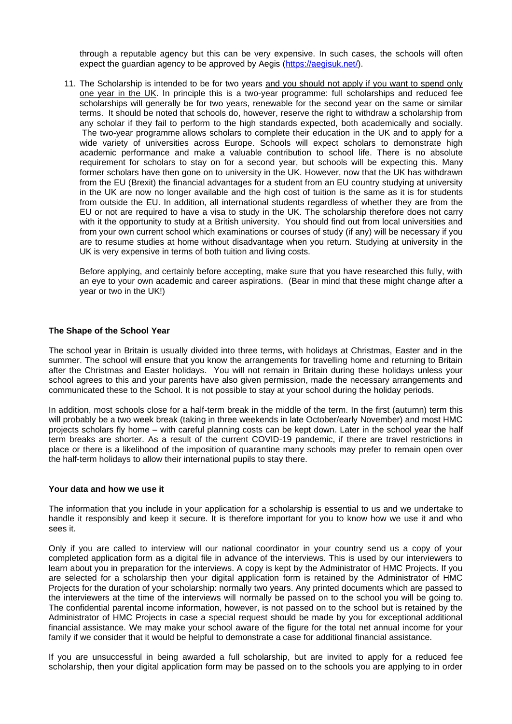through a reputable agency but this can be very expensive. In such cases, the schools will often expect the guardian agency to be approved by Aegis [\(https://aegisuk.net/\)](https://aegisuk.net/).

11. The Scholarship is intended to be for two years and you should not apply if you want to spend only one year in the UK. In principle this is a two-year programme: full scholarships and reduced fee scholarships will generally be for two years, renewable for the second year on the same or similar terms. It should be noted that schools do, however, reserve the right to withdraw a scholarship from any scholar if they fail to perform to the high standards expected, both academically and socially. The two-year programme allows scholars to complete their education in the UK and to apply for a wide variety of universities across Europe. Schools will expect scholars to demonstrate high academic performance and make a valuable contribution to school life. There is no absolute requirement for scholars to stay on for a second year, but schools will be expecting this. Many former scholars have then gone on to university in the UK. However, now that the UK has withdrawn from the EU (Brexit) the financial advantages for a student from an EU country studying at university in the UK are now no longer available and the high cost of tuition is the same as it is for students from outside the EU. In addition, all international students regardless of whether they are from the EU or not are required to have a visa to study in the UK. The scholarship therefore does not carry with it the opportunity to study at a British university. You should find out from local universities and from your own current school which examinations or courses of study (if any) will be necessary if you are to resume studies at home without disadvantage when you return. Studying at university in the UK is very expensive in terms of both tuition and living costs.

Before applying, and certainly before accepting, make sure that you have researched this fully, with an eye to your own academic and career aspirations. (Bear in mind that these might change after a year or two in the UK!)

## **The Shape of the School Year**

The school year in Britain is usually divided into three terms, with holidays at Christmas, Easter and in the summer. The school will ensure that you know the arrangements for travelling home and returning to Britain after the Christmas and Easter holidays. You will not remain in Britain during these holidays unless your school agrees to this and your parents have also given permission, made the necessary arrangements and communicated these to the School. It is not possible to stay at your school during the holiday periods.

In addition, most schools close for a half-term break in the middle of the term. In the first (autumn) term this will probably be a two week break (taking in three weekends in late October/early November) and most HMC projects scholars fly home – with careful planning costs can be kept down. Later in the school year the half term breaks are shorter. As a result of the current COVID-19 pandemic, if there are travel restrictions in place or there is a likelihood of the imposition of quarantine many schools may prefer to remain open over the half-term holidays to allow their international pupils to stay there.

#### **Your data and how we use it**

The information that you include in your application for a scholarship is essential to us and we undertake to handle it responsibly and keep it secure. It is therefore important for you to know how we use it and who sees it.

Only if you are called to interview will our national coordinator in your country send us a copy of your completed application form as a digital file in advance of the interviews. This is used by our interviewers to learn about you in preparation for the interviews. A copy is kept by the Administrator of HMC Projects. If you are selected for a scholarship then your digital application form is retained by the Administrator of HMC Projects for the duration of your scholarship: normally two years. Any printed documents which are passed to the interviewers at the time of the interviews will normally be passed on to the school you will be going to. The confidential parental income information, however, is not passed on to the school but is retained by the Administrator of HMC Projects in case a special request should be made by you for exceptional additional financial assistance. We may make your school aware of the figure for the total net annual income for your family if we consider that it would be helpful to demonstrate a case for additional financial assistance.

If you are unsuccessful in being awarded a full scholarship, but are invited to apply for a reduced fee scholarship, then your digital application form may be passed on to the schools you are applying to in order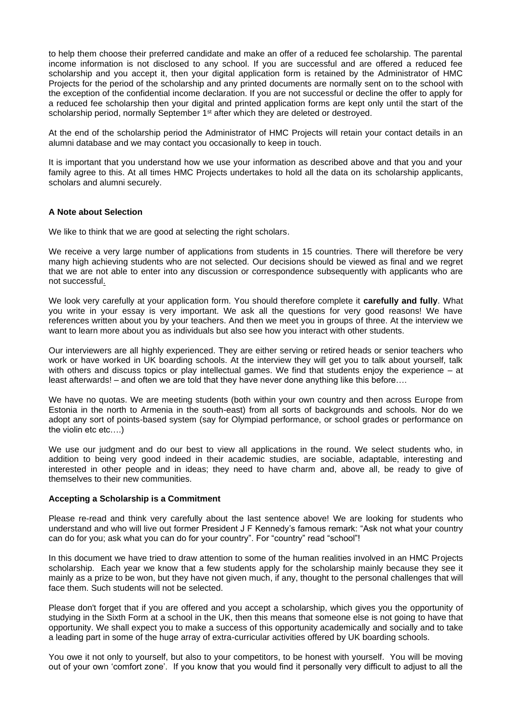to help them choose their preferred candidate and make an offer of a reduced fee scholarship. The parental income information is not disclosed to any school. If you are successful and are offered a reduced fee scholarship and you accept it, then your digital application form is retained by the Administrator of HMC Projects for the period of the scholarship and any printed documents are normally sent on to the school with the exception of the confidential income declaration. If you are not successful or decline the offer to apply for a reduced fee scholarship then your digital and printed application forms are kept only until the start of the scholarship period, normally September 1<sup>st</sup> after which they are deleted or destroyed.

At the end of the scholarship period the Administrator of HMC Projects will retain your contact details in an alumni database and we may contact you occasionally to keep in touch.

It is important that you understand how we use your information as described above and that you and your family agree to this. At all times HMC Projects undertakes to hold all the data on its scholarship applicants, scholars and alumni securely.

## **A Note about Selection**

We like to think that we are good at selecting the right scholars.

We receive a very large number of applications from students in 15 countries. There will therefore be very many high achieving students who are not selected. Our decisions should be viewed as final and we regret that we are not able to enter into any discussion or correspondence subsequently with applicants who are not successful.

We look very carefully at your application form. You should therefore complete it **carefully and fully**. What you write in your essay is very important. We ask all the questions for very good reasons! We have references written about you by your teachers. And then we meet you in groups of three. At the interview we want to learn more about you as individuals but also see how you interact with other students.

Our interviewers are all highly experienced. They are either serving or retired heads or senior teachers who work or have worked in UK boarding schools. At the interview they will get you to talk about yourself, talk with others and discuss topics or play intellectual games. We find that students enjoy the experience – at least afterwards! – and often we are told that they have never done anything like this before….

We have no quotas. We are meeting students (both within your own country and then across Europe from Estonia in the north to Armenia in the south-east) from all sorts of backgrounds and schools. Nor do we adopt any sort of points-based system (say for Olympiad performance, or school grades or performance on the violin etc etc….)

We use our judgment and do our best to view all applications in the round. We select students who, in addition to being very good indeed in their academic studies, are sociable, adaptable, interesting and interested in other people and in ideas; they need to have charm and, above all, be ready to give of themselves to their new communities.

#### **Accepting a Scholarship is a Commitment**

Please re-read and think very carefully about the last sentence above! We are looking for students who understand and who will live out former President J F Kennedy's famous remark: "Ask not what your country can do for you; ask what you can do for your country". For "country" read "school"!

In this document we have tried to draw attention to some of the human realities involved in an HMC Projects scholarship. Each year we know that a few students apply for the scholarship mainly because they see it mainly as a prize to be won, but they have not given much, if any, thought to the personal challenges that will face them. Such students will not be selected.

Please don't forget that if you are offered and you accept a scholarship, which gives you the opportunity of studying in the Sixth Form at a school in the UK, then this means that someone else is not going to have that opportunity. We shall expect you to make a success of this opportunity academically and socially and to take a leading part in some of the huge array of extra-curricular activities offered by UK boarding schools.

You owe it not only to yourself, but also to your competitors, to be honest with yourself. You will be moving out of your own 'comfort zone'. If you know that you would find it personally very difficult to adjust to all the